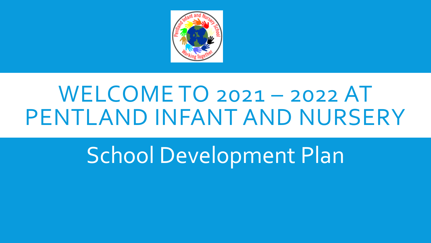

# WELCOME TO 2021 – 2022 AT PENTLAND INFANT AND NURSERY

School Development Plan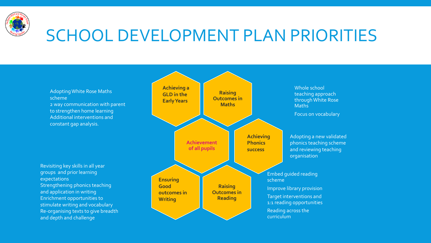

Adopting White Rose Maths scheme 2 way communication with parent to strengthen home learning Additional interventions and constant gap analysis.

Revisiting key skills in all year groups and prior learning expectations Strengthening phonics teaching and application in writing Enrichment opportunities to stimulate writing and vocabulary Re-organising texts to give breadth and depth and challenge

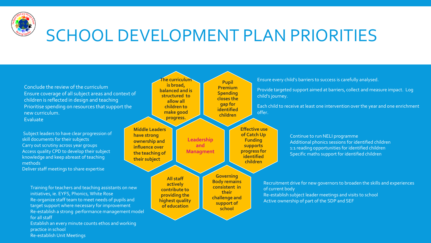

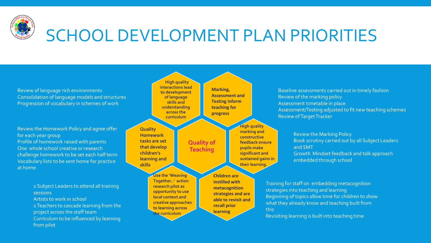

Review of language rich environments Consolidation of language models and structures Progression of vocabulary in schemes of work

Review the Homework Policy and agree offer for each year group Profile of homework raised with parents One whole school creative or research challenge homework to be set each half term Vocabulary lists to be sent home for practice at home

> 2 Subject Leaders to attend all training sessions Artists to work in school 2 Teachers to cascade learning from the project across the staff team Curriculum to be influenced by learning

from pilot

**High quality interactions lead to development of language skills and understanding across the curriculum Quality of Teaching Quality Homework tasks are set that develop children's learning and skills Marking, Assessment and Testing inform teaching for progress High quality marking and constructive feedback ensure pupils make significant and sustained gains in their learning. Children are instilled with metacognition strategies and are able to revisit and recall prior learning Use the 'Weaving Together..' action research pilot as opportunity to use local context and creative approaches to learning across the curriculum** 

Baseline assessments carried out in timely fashion Review of the marking policy Assessment timetable in place Assessment/Testing adjusted to fit new teaching schemes Review of Target Tracker

> Review the Marking Policy Book scrutiny carried out by all Subject Leaders and SMT Growth Mindset feedback and talk approach embedded through school

Training for staff on embedding metacognition strategies into teaching and learning Beginning of topics allow time for children to show what they already know and teaching built from this

Revisiting learning is built into teaching time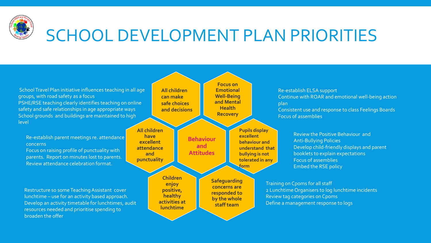

School Travel Plan initiative influences teaching in all age groups, with road safety as a focus PSHE/RSE teaching clearly identifies teaching on online safety and safe relationships in age appropriate ways School grounds and buildings are maintained to high level

Re-establish parent meetings re. attendance concerns

Focus on raising profile of punctuality with parents. Report on minutes lost to parents. Review attendance celebration format.

Restructure so some Teaching Assistant cover lunchtime – use for an activity based approach. Develop an activity timetable for lunchtimes, audit resources needed and prioritise spending to broaden the offer

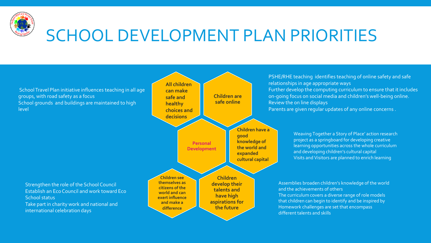

School Travel Plan initiative influences teaching in all age groups, with road safety as a focus School grounds and buildings are maintained to high level

Strengthen the role of the School Council Establish an Eco Council and work toward Eco School status Take part in charity work and national and international celebration days